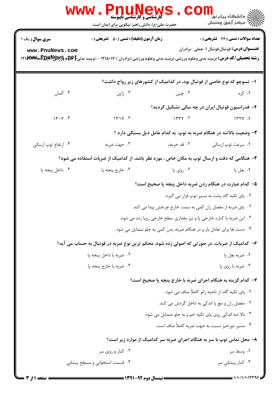| <b>WWW</b>                                                                                  | <b>. PNUNEWS</b><br><b>گارشناسی و کارشناسی ناپیوسته</b><br>حضرت علی(ع): دانش راهبر نیکویی برای ایمان است                                 |                                                                         | ر دانشڪاه پيام نور ■<br>ا∛ مرکز آزمون وسنڊش                                                         |  |  |
|---------------------------------------------------------------------------------------------|------------------------------------------------------------------------------------------------------------------------------------------|-------------------------------------------------------------------------|-----------------------------------------------------------------------------------------------------|--|--|
| <b>سری سوال :</b> یک ۱                                                                      | <b>زمان آزمون (دقیقه) : تستی : 50 ٪ تشریحی : 0</b>                                                                                       |                                                                         | <b>تعداد سوالات : تستی : 24 ۔ تشریحی : 0</b>                                                        |  |  |
| www.PnuNews.com                                                                             | <b>رشته تحصیلی/کد درس:</b> تربیت بدنی وعلوم ورزشی،تربیت بدنی وعلوم ورزشی (برادران ) ۱۲۱۵۰۱۷ - ،تربیت بدنی‡کهپهکچهپهکچهپه۱۲۱ <b>۸۳۷ ا</b> |                                                                         | <b>عنــــوان درس:</b> فوتبال،فوتبال ١-عملي -برادران                                                 |  |  |
|                                                                                             |                                                                                                                                          | ا- تسوچو که نوع خاصی از فوتبال بود، در کدامیک از کشورهای زیر رواج داشت؟ |                                                                                                     |  |  |
| ۰۴ آلمان                                                                                    | ۰۳ ژاپن                                                                                                                                  | ۰۲ چين                                                                  | ۰۱ کره                                                                                              |  |  |
|                                                                                             |                                                                                                                                          | ۲- فدراسیون فوتبال ایران در چه سالی تشکیل گردید؟                        |                                                                                                     |  |  |
| 14.4                                                                                        | $151V \cdot T$                                                                                                                           | $\gamma$                                                                | 1551                                                                                                |  |  |
|                                                                                             |                                                                                                                                          | ۳- وضعیت بالاتنه در هنگام ضربه به توپ به کدام عامل ذیل بستگی دارد ؟     |                                                                                                     |  |  |
| ۰۴ ارتفاع توپ ارسالی                                                                        | ۰۳ جهت ضربه                                                                                                                              | ۰۲ قد حريف                                                              | ۰۱ سرعت توپ ارسالی                                                                                  |  |  |
|                                                                                             | ۴- هنگامی که دقت و ارسال توپ به مکان خاص ، مورد نظر باشد، از کدامیک از ضربات استفاده می شود؟                                             |                                                                         |                                                                                                     |  |  |
| ۰۴ داخل پنجه پا                                                                             | ۰۳ خارج پنجه پا                                                                                                                          | ۰۲ روی پا                                                               | ۰۱ بغل پا                                                                                           |  |  |
|                                                                                             |                                                                                                                                          | ۵– کدام عبارت در هنگام زدن ضربه داخل پنجه پا صحیح است؟                  |                                                                                                     |  |  |
|                                                                                             | ٠١. پای تکیه گاه پشت به مسیر توپ قرار می گیرد.                                                                                           |                                                                         |                                                                                                     |  |  |
|                                                                                             | ۰۲ پای ضربه از مفصل ران کمی به سمت خارج چرخش پیدا می کند.                                                                                |                                                                         |                                                                                                     |  |  |
|                                                                                             | ۰۳ این ضربه با کناره خارجی پا و نیز مقداری سطح خارجی روپا زده می شود.                                                                    |                                                                         |                                                                                                     |  |  |
| ۰۴ دست ها برای تعادل باز و در هنگام ضربه، بدن کمی به جلو متمایل می شود.                     |                                                                                                                                          |                                                                         |                                                                                                     |  |  |
| ۶– کدامیک از ضربات، در صورتی که اصولی زده شود، محکم ترین نوع ضربه در فوتبال به حساب می آید؟ |                                                                                                                                          |                                                                         |                                                                                                     |  |  |
|                                                                                             | ۰۲ ضربه با داخل پنجه پا                                                                                                                  |                                                                         | ۰۱ ضربه بغل پا                                                                                      |  |  |
| ۰۴ ضربه با خارج پنجه پا<br>۰۳ ضربه با روي پا                                                |                                                                                                                                          |                                                                         |                                                                                                     |  |  |
| ۷- کدام گزینه به هنگام اجرای ضربه با خارج پنجه پا صحیح است؟                                 |                                                                                                                                          |                                                                         |                                                                                                     |  |  |
|                                                                                             |                                                                                                                                          |                                                                         | ۰۱ پای تکیه گاه، از ناحیه زانو کاملاً صاف می شود.<br>۰۲ مفصل ران و مچ پا اندکی به داخل گردش می کند. |  |  |
|                                                                                             |                                                                                                                                          | ۰۳ بالا تنه اندکی روی پای تکیه خم و به جلو متمایل می شود.               |                                                                                                     |  |  |
|                                                                                             |                                                                                                                                          | ۰۴ مسیر دورخیز نسبت به جهت ضربه کاملاً صاف است.                         |                                                                                                     |  |  |
| ۸- محل تماس توپ با سر به هنگام اجرای ضربه سر کدامیک از موارد زیر است؟                       |                                                                                                                                          |                                                                         |                                                                                                     |  |  |
|                                                                                             | ۰۲ کنار و روی سر                                                                                                                         |                                                                         | ۰۱ وسط سر                                                                                           |  |  |
|                                                                                             | ۰۴ قسمت استخوانی و مسطح پیشانی                                                                                                           |                                                                         | ۰۳ کنار پیشانی سر                                                                                   |  |  |
|                                                                                             |                                                                                                                                          |                                                                         |                                                                                                     |  |  |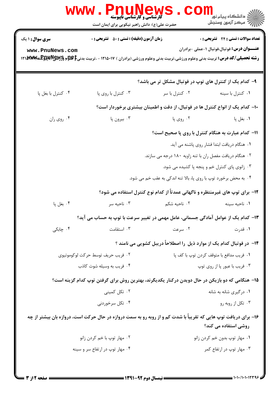| <b>سری سوال : ۱ یک</b>            | <b>زمان آزمون (دقیقه) : تستی : 50 ٪ تشریحی : 0</b>                                                                                         |                                                                                | <b>تعداد سوالات : تستی : 24 گشریحی : 0</b>          |
|-----------------------------------|--------------------------------------------------------------------------------------------------------------------------------------------|--------------------------------------------------------------------------------|-----------------------------------------------------|
| www.PnuNews.com                   | <b>رشته تحصیلی/کد درس:</b> تربیت بدنی وعلوم ورزشی،تربیت بدنی وعلوم ورزشی (برادران ) ۱۲۱۵۰۱۷ - ،تربیت بدنی‡کهپهکچهپههاس ۱۲۱ <b>۸۳۷ اگ</b> ر |                                                                                | <b>عنــــوان درس:</b> فوتبال،فوتبال ١-عملى -برادران |
|                                   |                                                                                                                                            | ۹- کدام یک از کنترل های توپ در فوتبال مشکل تر می باشد؟                         |                                                     |
| ۰۴ كنترل با بغل پا                | ۰۳ کنترل با روی پا                                                                                                                         | ۰۲ کنترل با سر                                                                 | ٠١ كنترل با سينه                                    |
|                                   |                                                                                                                                            | ۱۰– کدام یک از انواع کنترل ها در فوتبال، از دقت و اطمینان بیشتری برخوردار است؟ |                                                     |
| ۰۴ روی ران                        | ۰۳ بیرون پا                                                                                                                                | ۰۲ روی پا                                                                      | ۰۱ بغل پا                                           |
|                                   |                                                                                                                                            | 11- کدام عبارت به هنگام کنترل با روی پا صحیح است؟                              |                                                     |
|                                   | ۰۱ هنگام دریافت ابتدا فشار روی پاشنه می آید.                                                                                               |                                                                                |                                                     |
|                                   |                                                                                                                                            | ۰۲ هنگام دریافت مفصل ران با تنه زاویه ۱۸۰ درجه می سازند.                       |                                                     |
|                                   |                                                                                                                                            |                                                                                | ۰۳ زانوی پای کنترل خم و پنجه پا کشیده می شود.       |
|                                   |                                                                                                                                            | ۰۴ به محض برخورد توپ با روی پا، بالا تنه اندکی به عقب خم می شود.               |                                                     |
|                                   |                                                                                                                                            | ۱۲- برای توپ های غیرمنتظره و ناگهانی عمدتاً از کدام نوع کنترل استفاده می شود؟  |                                                     |
| ۰۴ بغل پا                         | ۰۳ ناحيه سر                                                                                                                                | ۰۲ ناحیه شکم                                                                   | ۰۱ ناحيه سينه                                       |
|                                   | ۱۳– کدام یک از عوامل آمادگی جسمانی، عامل مهمی در تغییر سرعت با توپ به حساب می آید؟                                                         |                                                                                |                                                     |
| ۰۴ چابکی                          | ۰۳ استقامت                                                                                                                                 | ۰۲ سرعت                                                                        | ۰۱ قدرت                                             |
|                                   |                                                                                                                                            | ۱۴- در فوتبال کدام یک از موارد ذیل را اصطلاحاً دریبل کشویی می نامند ؟          |                                                     |
| ۰۲ فريب حريف توسط حركت لوكوموتيوي |                                                                                                                                            | ٠١ فريب مدافع با متوقف كردن توپ با كف پا                                       |                                                     |
| ۰۴ فريب به وسيله شوت كاذب         |                                                                                                                                            | ۰۳ فريب با عبور پا از روي توپ                                                  |                                                     |
|                                   | ۱۵– هنگامی که دو بازیکن در حال دویدن درکنار یکدیگرند، بهترین روش برای گرفتن توپ کدام گزینه است؟                                            |                                                                                |                                                     |
| ۰۲ تکل کمینی                      |                                                                                                                                            | ۰۱ درگیری شانه به شانه                                                         |                                                     |
| ۰۴ تکل سرخوردنی                   |                                                                                                                                            |                                                                                | ۰۳ تکل از روبه رو                                   |
|                                   | ۱۶- برای دریافت توپ هایی که تقریباً با شدت کم و از روبه رو به سمت دروازه در حال حرکت است، دروازه بان بیشتر از چه                           |                                                                                | روشی استفاده می کند؟                                |
| ۰۲ مهار توپ با خم کردن زانو       |                                                                                                                                            |                                                                                | ۰۱ مهار توپ بدون خم کردن زانو                       |
| ۰۴ مهار توپ در ارتفاع سر و سینه   |                                                                                                                                            |                                                                                | ۰۳ مهار توپ در ارتفاع کمر                           |